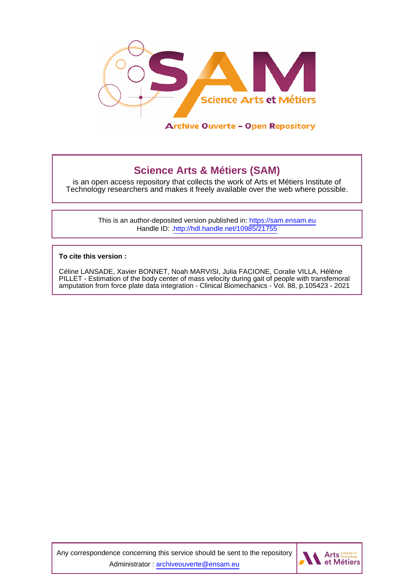

# **Science Arts & Métiers (SAM)**

is an open access repository that collects the work of Arts et Métiers Institute of Technology researchers and makes it freely available over the web where possible.

> This is an author-deposited version published in:<https://sam.ensam.eu> Handle ID: [.http://hdl.handle.net/10985/21755](http://hdl.handle.net/10985/21755)

**To cite this version :**

Céline LANSADE, Xavier BONNET, Noah MARVISI, Julia FACIONE, Coralie VILLA, Hélène PILLET - Estimation of the body center of mass velocity during gait of people with transfemoral amputation from force plate data integration - Clinical Biomechanics - Vol. 88, p.105423 - 2021

Any correspondence concerning this service should be sent to the repository Administrator : [archiveouverte@ensam.eu](mailto:archiveouverte@ensam.eu)

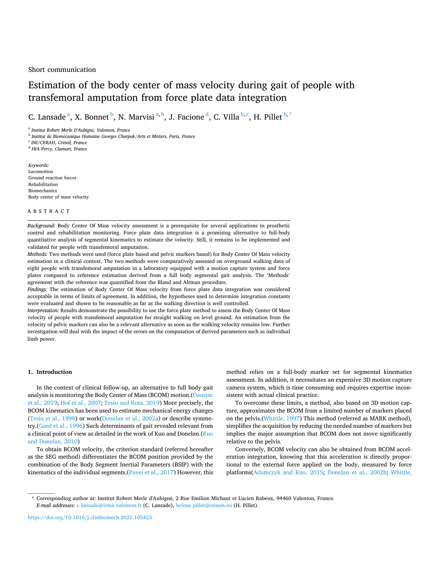## Short communication

# Estimation of the body center of mas[s velocity during gait of](https://www.elsevier.com/locate/clinbiomech) people with transfemoral amputation from force plate data integration

C. Lansade<sup>a</sup>, X. Bonnet <sup>b</sup>, N. Marvisi<sup>a, b</sup>, J. Facione <sup>d</sup>, C. Villa <sup>b, c</sup>, H. Pillet <sup>b, \*</sup>

<sup>a</sup> *Institut Robert Merle D'Aubign*´*e, Valenton, France* 

<sup>b</sup> Institut de Biomécanique Humaine Georges Charpak/Arts et Métiers, Paris, France

<sup>c</sup> *INI/CERAH, Cr*´*eteil, France* 

<sup>d</sup> *HIA Percy, Clamart, France* 

*Keywords:*  Locomotion Ground reaction forces Rehabilitation Biomechanics Body center of mass velocity

ABSTRACT

*Background:* Body Center Of Mass velocity assessment is a prerequisite for several applications in prosthetic control and rehabilitation monitoring. Force plate data integration is a promising alternative to full-body quantitative analysis of segmental kinematics to estimate the velocity. Still, it remains to be implemented and validated for people with transfemoral amputation.

*Methods:* Two methods were used (force plate based and pelvic markers based) for Body Center Of Mass velocity estimation in a clinical context. The two methods were comparatively assessed on overground walking data of eight people with transfemoral amputation in a laboratory equipped with a motion capture system and force plates compared to reference estimation derived from a full body segmental gait analysis. The 'Methods' agreement with the reference was quantified from the Bland and Altman procedure.

*Findings:* The estimation of Body Center Of Mass velocity from force plate data integration was considered acceptable in terms of limits of agreement. In addition, the hypotheses used to determine integration constants were evaluated and shown to be reasonable as far as the walking direction is well controlled.

*Interpretation:* Results demonstrate the possibility to use the force plate method to assess the Body Center Of Mass velocity of people with transfemoral amputation for straight walking on level ground. An estimation from the velocity of pelvic markers can also be a relevant alternative as soon as the walking velocity remains low. Further investigation will deal with the impact of the errors on the computation of derived parameters such as individual limb power.

#### **1. Introduction**

In the context of clinical follow-up, an alternative to full body gait analysis is monitoring the Body Center of Mass (BCOM) motion.[\(Dauriac](#page-4-0)  [et al., 2019](#page-4-0); [Hof et al., 2007; Tesio and Rota, 2019](#page-4-0)) More precisely, the BCOM kinematics has been used to estimate mechanical energy changes ([Tesio et al., 1998\)](#page-4-0) or work[\(Donelan et al., 2002a](#page-4-0)) or describe symmetry.([Gard et al., 1996\)](#page-4-0) Such determinants of gait revealed relevant from a clinical point of view as detailed in the work of Kuo and Donelan.([Kuo](#page-4-0)  [and Donelan, 2010\)](#page-4-0)

To obtain BCOM velocity, the criterion standard (referred hereafter as the SEG method) differentiates the BCOM position provided by the combination of the Body Segment Inertial Parameters (BSIP) with the kinematics of the individual segments.([Pavei et al., 2017](#page-4-0)) However, this method relies on a full-body marker set for segmental kinematics assessment. In addition, it necessitates an expensive 3D motion capture camera system, which is time consuming and requires expertise inconsistent with actual clinical practice.

To overcome these limits, a method, also based on 3D motion capture, approximates the BCOM from a limited number of markers placed on the pelvis.[\(Whittle, 1997\)](#page-4-0) This method (referred as MARK method), simplifies the acquisition by reducing the needed number of markers but implies the major assumption that BCOM does not move significantly relative to the pelvis.

Conversely, BCOM velocity can also be obtained from BCOM acceleration integration, knowing that this acceleration is directly proportional to the external force applied on the body, measured by force platforms[\(Adamczyk and Kuo, 2015;](#page-4-0) [Donelan et al., 2002b;](#page-4-0) [Whittle,](#page-4-0) 

<https://doi.org/10.1016/j.clinbiomech.2021.105423>

<sup>\*</sup> Corresponding author at: Institut Robert Merle d'Aubign´e, 2 Rue Emilion Michaut et Lucien Rabeux, 94460 Valenton, France. *E-mail addresses:* [c.lansade@irma-valenton.fr](mailto:c.lansade@irma-valenton.fr) (C. Lansade), [helene.pillet@ensam.eu](mailto:helene.pillet@ensam.eu) (H. Pillet).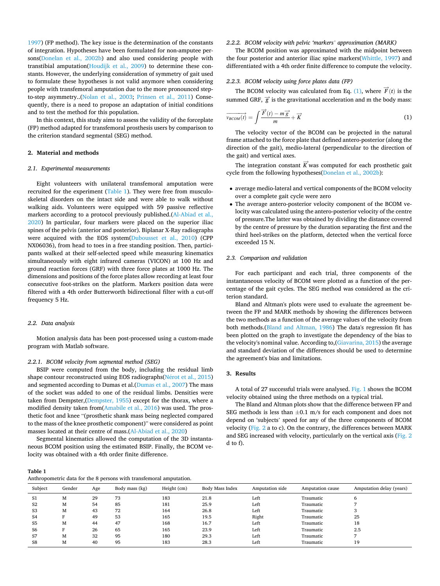[1997\)](#page-4-0) (FP method). The key issue is the determination of the constants of integration. Hypotheses have been formulated for non-amputee persons([Donelan et al., 2002b](#page-4-0)) and also used considering people with transtibial amputation([Houdijk et al., 2009](#page-4-0)) to determine these constants. However, the underlying consideration of symmetry of gait used to formulate these hypotheses is not valid anymore when considering people with transfemoral amputation due to the more pronounced stepto-step asymmetry..([Nolan et al., 2003](#page-4-0); [Prinsen et al., 2011](#page-4-0)) Consequently, there is a need to propose an adaptation of initial conditions and to test the method for this population.

In this context, this study aims to assess the validity of the forceplate (FP) method adapted for transfemoral prosthesis users by comparison to the criterion standard segmental (SEG) method.

## **2. Material and methods**

#### *2.1. Experimental measurements*

Eight volunteers with unilateral transfemoral amputation were recruited for the experiment (Table 1). They were free from musculoskeletal disorders on the intact side and were able to walk without walking aids. Volunteers were equipped with 59 passive reflective markers according to a protocol previously published.[\(Al-Abiad et al.,](#page-4-0)  [2020\)](#page-4-0) In particular, four markers were placed on the superior iliac spines of the pelvis (anterior and posterior). Biplanar X-Ray radiographs were acquired with the EOS system([Dubousset et al., 2010\)](#page-4-0) (CPP NX06036), from head to toes in a free standing position. Then, participants walked at their self-selected speed while measuring kinematics simultaneously with eight infrared cameras (VICON) at 100 Hz and ground reaction forces (GRF) with three force plates at 1000 Hz. The dimensions and positions of the force plates allow recording at least four consecutive foot-strikes on the platform. Markers position data were filtered with a 4th order Butterworth bidirectional filter with a cut-off frequency 5 Hz.

#### *2.2. Data analysis*

Motion analysis data has been post-processed using a custom-made program with Matlab software.

#### *2.2.1. BCOM velocity from segmental method (SEG)*

BSIP were computed from the body, including the residual limb shape contour reconstructed using EOS radiographs(Nérot et al., 2015) and segmented according to Dumas et al.[\(Dumas et al., 2007\)](#page-4-0) The mass of the socket was added to one of the residual limbs. Densities were taken from Dempster,[\(Dempster, 1955\)](#page-4-0) except for the thorax, where a modified density taken from[\(Amabile et al., 2016](#page-4-0)) was used. The prosthetic foot and knee "(prosthetic shank mass being neglected compared to the mass of the knee prosthetic component)" were considered as point masses located at their centre of mass.[\(Al-Abiad et al., 2020](#page-4-0))

Segmental kinematics allowed the computation of the 3D instantaneous BCOM position using the estimated BSIP. Finally, the BCOM velocity was obtained with a 4th order finite difference.

#### *2.2.2. BCOM velocity with pelvic 'markers' approximation (MARK)*

The BCOM position was approximated with the midpoint between the four posterior and anterior iliac spine markers([Whittle, 1997\)](#page-4-0) and differentiated with a 4th order finite difference to compute the velocity.

#### *2.2.3. BCOM velocity using force plates data (FP)*

The BCOM velocity was calculated from Eq. (1), where  $\vec{F}(t)$  is the summed GRF,  $\vec{g}$  is the gravitational acceleration and m the body mass:

$$
\overrightarrow{v_{BCOM}(t)} = \int \frac{\overrightarrow{F}(t) - m\overrightarrow{g}}{m} + \overrightarrow{K}
$$
 (1)

The velocity vector of the BCOM can be projected in the natural frame attached to the force plate that defined antero-posterior (along the direction of the gait), medio-lateral (perpendicular to the direction of the gait) and vertical axes.

The integration constant  $\vec{K}$  was computed for each prosthetic gait cycle from the following hypotheses[\(Donelan et al., 2002b\)](#page-4-0):

- average medio-lateral and vertical components of the BCOM velocity over a complete gait cycle were zero
- The average antero-posterior velocity component of the BCOM velocity was calculated using the antero-posterior velocity of the centre of pressure.The latter was obtained by dividing the distance covered by the centre of pressure by the duration separating the first and the third heel-strikes on the platform, detected when the vertical force exceeded 15 N.

#### *2.3. Comparison and validation*

For each participant and each trial, three components of the instantaneous velocity of BCOM were plotted as a function of the percentage of the gait cycles. The SEG method was considered as the criterion standard.

Bland and Altman's plots were used to evaluate the agreement between the FP and MARK methods by showing the differences between the two methods as a function of the average values of the velocity from both methods.[\(Bland and Altman, 1986](#page-4-0)) The data's regression fit has been plotted on the graph to investigate the dependency of the bias to the velocity's nominal value. According to,([Giavarina, 2015\)](#page-4-0) the average and standard deviation of the differences should be used to determine the agreement's bias and limitations.

# **3. Results**

A total of 27 successful trials were analysed. [Fig. 1](#page-3-0) shows the BCOM velocity obtained using the three methods on a typical trial.

The Bland and Altman plots show that the difference between FP and SEG methods is less than ±0.1 m/s for each component and does not depend on 'subjects' speed for any of the three components of BCOM velocity ([Fig. 2](#page-3-0) a to c). On the contrary, the differences between MARK and SEG increased with velocity, particularly on the vertical axis [\(Fig. 2](#page-3-0)  d to f).

**Table 1**  Anthropometric data for the 8 persons with transfemoral amputation.

| Subject        | Gender | Age | Body mass (kg) | Height (cm) | Body Mass Index | Amputation side | Amputation cause | Amputation delay (years) |
|----------------|--------|-----|----------------|-------------|-----------------|-----------------|------------------|--------------------------|
| S1             | M      | 29  | 73             | 183         | 21.8            | Left            | Traumatic        | 6                        |
| S2             | M      | 54  | 85             | 181         | 25.9            | Left            | Traumatic        |                          |
| S <sub>3</sub> | м      | 43  | 72             | 164         | 26.8            | Left            | Traumatic        |                          |
| S <sub>4</sub> |        | 49  | 53             | 165         | 19.5            | Right           | Traumatic        | 25                       |
| S <sub>5</sub> | M      | 44  | 47             | 168         | 16.7            | Left            | Traumatic        | 18                       |
| S6             |        | 26  | 65             | 165         | 23.9            | Left            | Traumatic        | 2.5                      |
| S7             | M      | 32  | 95             | 180         | 29.3            | Left            | Traumatic        |                          |
| S8             | M      | 40  | 95             | 183         | 28.3            | Left            | Traumatic        | 19                       |
|                |        |     |                |             |                 |                 |                  |                          |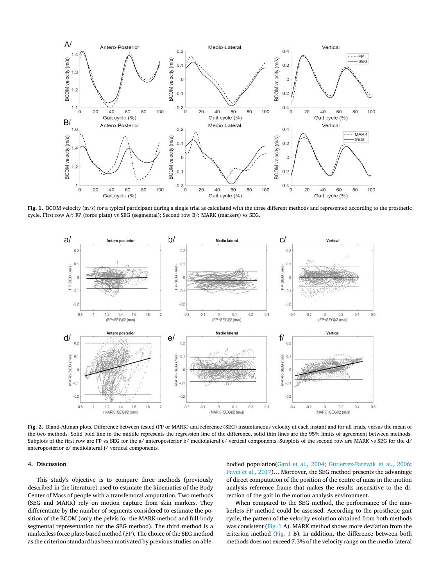<span id="page-3-0"></span>

**Fig. 1.** BCOM velocity (m/s) for a typical participant during a single trial as calculated with the three different methods and represented according to the prosthetic cycle. First row A/: FP (force plate) vs SEG (segmental); Second row B/: MARK (markers) vs SEG.



**Fig. 2.** Bland-Altman plots. Difference between tested (FP or MARK) and reference (SEG) instantaneous velocity at each instant and for all trials, versus the mean of the two methods. Solid bold line in the middle represents the regression line of the difference, solid thin lines are the 95% limits of agreement between methods. Subplots of the first row are FP vs SEG for the a/ anteroposterior b/ mediolateral c/ vertical components. Subplots of the second row are MARK vs SEG for the d/ anteroposterior e/ mediolateral f/ vertical components.

#### **4. Discussion**

This study's objective is to compare three methods (previously described in the literature) used to estimate the kinematics of the Body Center of Mass of people with a transfemoral amputation. Two methods (SEG and MARK) rely on motion capture from skin markers. They differentiate by the number of segments considered to estimate the position of the BCOM (only the pelvis for the MARK method and full-body segmental representation for the SEG method). The third method is a markerless force plate-based method (FP). The choice of the SEG method as the criterion standard has been motivated by previous studies on ablebodied population([Gard et al., 2004](#page-4-0); [Gutierrez-Farewik et al., 2006](#page-4-0); [Pavei et al., 2017](#page-4-0))… Moreover, the SEG method presents the advantage of direct computation of the position of the centre of mass in the motion analysis reference frame that makes the results insensitive to the direction of the gait in the motion analysis environment.

When compared to the SEG method, the performance of the markerless FP method could be assessed. According to the prosthetic gait cycle, the pattern of the velocity evolution obtained from both methods was consistent (Fig. 1 A). MARK method shows more deviation from the criterion method (Fig. 1 B). In addition, the difference between both methods does not exceed 7.3% of the velocity range on the medio-lateral